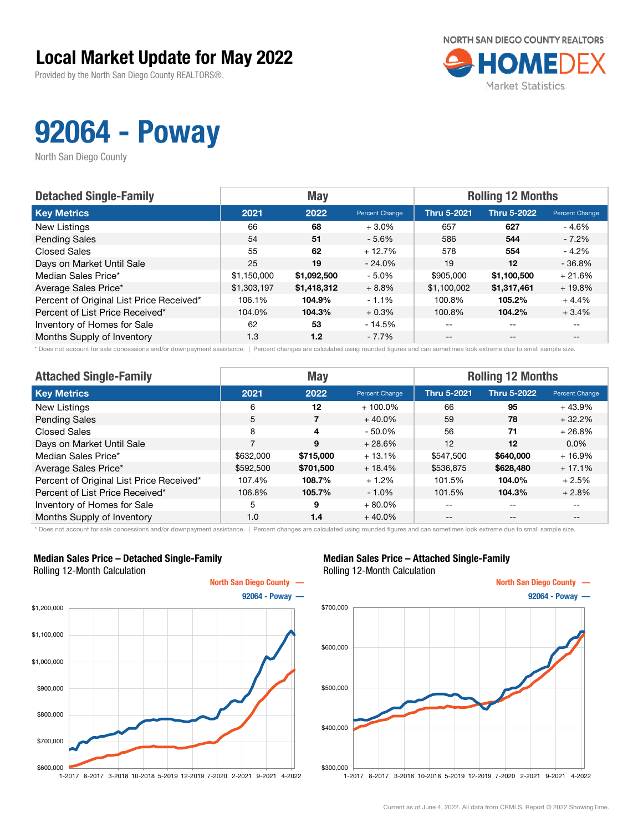### Local Market Update for May 2022

Provided by the North San Diego County REALTORS®.



## 92064 - Poway

North San Diego County

| <b>Detached Single-Family</b>            |             | <b>May</b>  |                | <b>Rolling 12 Months</b> |                    |                       |  |
|------------------------------------------|-------------|-------------|----------------|--------------------------|--------------------|-----------------------|--|
| <b>Key Metrics</b>                       | 2021        | 2022        | Percent Change | <b>Thru 5-2021</b>       | <b>Thru 5-2022</b> | <b>Percent Change</b> |  |
| New Listings                             | 66          | 68          | $+3.0%$        | 657                      | 627                | $-4.6%$               |  |
| <b>Pending Sales</b>                     | 54          | 51          | $-5.6%$        | 586                      | 544                | - 7.2%                |  |
| <b>Closed Sales</b>                      | 55          | 62          | $+12.7%$       | 578                      | 554                | $-4.2%$               |  |
| Days on Market Until Sale                | 25          | 19          | $-24.0\%$      | 19                       | $12 \,$            | $-36.8%$              |  |
| Median Sales Price*                      | \$1,150,000 | \$1,092,500 | $-5.0\%$       | \$905,000                | \$1,100,500        | $+21.6%$              |  |
| Average Sales Price*                     | \$1,303,197 | \$1,418,312 | $+8.8%$        | \$1,100,002              | \$1,317,461        | $+19.8%$              |  |
| Percent of Original List Price Received* | 106.1%      | 104.9%      | $-1.1%$        | 100.8%                   | 105.2%             | $+4.4%$               |  |
| Percent of List Price Received*          | 104.0%      | 104.3%      | $+0.3%$        | 100.8%                   | 104.2%             | $+3.4%$               |  |
| Inventory of Homes for Sale              | 62          | 53          | - 14.5%        | $- -$                    | $- -$              | $\qquad \qquad -$     |  |
| Months Supply of Inventory               | 1.3         | 1.2         | $-7.7%$        | $- -$                    | $- -$              |                       |  |

Does not account for sale concessions and/or downpayment assistance. | Percent changes are calculated using rounded figures and can sometimes look extreme due to small sample size.

| <b>Attached Single-Family</b>            |           | <b>May</b> |                | <b>Rolling 12 Months</b> |                   |                |  |
|------------------------------------------|-----------|------------|----------------|--------------------------|-------------------|----------------|--|
| <b>Key Metrics</b>                       | 2021      | 2022       | Percent Change | <b>Thru 5-2021</b>       | Thru 5-2022       | Percent Change |  |
| <b>New Listings</b>                      | 6         | 12         | $+100.0\%$     | 66                       | 95                | $+43.9%$       |  |
| <b>Pending Sales</b>                     | 5         | 7          | $+40.0%$       | 59                       | 78                | $+32.2%$       |  |
| <b>Closed Sales</b>                      | 8         | 4          | $-50.0%$       | 56                       | 71                | $+26.8%$       |  |
| Days on Market Until Sale                | 7         | 9          | $+28.6%$       | 12                       | $12 \,$           | $0.0\%$        |  |
| Median Sales Price*                      | \$632,000 | \$715,000  | $+13.1%$       | \$547,500                | \$640,000         | $+16.9%$       |  |
| Average Sales Price*                     | \$592,500 | \$701,500  | $+18.4%$       | \$536,875                | \$628,480         | $+17.1%$       |  |
| Percent of Original List Price Received* | 107.4%    | 108.7%     | $+1.2%$        | 101.5%                   | 104.0%            | $+2.5%$        |  |
| Percent of List Price Received*          | 106.8%    | 105.7%     | $-1.0\%$       | 101.5%                   | 104.3%            | $+2.8%$        |  |
| Inventory of Homes for Sale              | 5         | 9          | $+80.0\%$      | --                       | $\qquad \qquad -$ | $- -$          |  |
| Months Supply of Inventory               | 1.0       | 1.4        | $+40.0%$       | $- -$                    | $\qquad \qquad -$ | $- -$          |  |

\* Does not account for sale concessions and/or downpayment assistance. | Percent changes are calculated using rounded figures and can sometimes look extreme due to small sample size.

#### Median Sales Price – Detached Single-Family Rolling 12-Month Calculation



### Median Sales Price – Attached Single-Family Rolling 12-Month Calculation

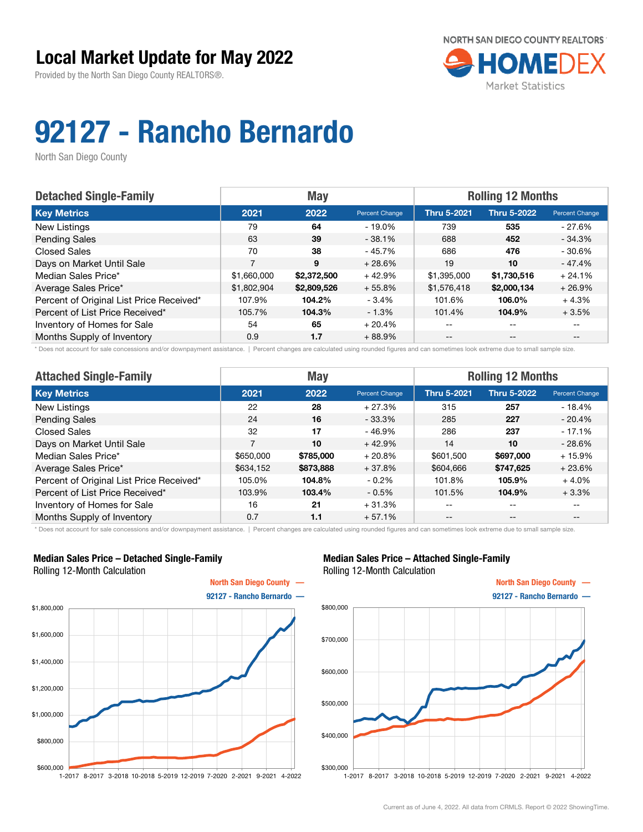

# 92127 - Rancho Bernardo

North San Diego County

| <b>Detached Single-Family</b>            |             | <b>May</b>  |                | <b>Rolling 12 Months</b> |                    |                          |  |
|------------------------------------------|-------------|-------------|----------------|--------------------------|--------------------|--------------------------|--|
| <b>Key Metrics</b>                       | 2021        | 2022        | Percent Change | <b>Thru 5-2021</b>       | <b>Thru 5-2022</b> | Percent Change           |  |
| New Listings                             | 79          | 64          | - 19.0%        | 739                      | 535                | - 27.6%                  |  |
| <b>Pending Sales</b>                     | 63          | 39          | $-38.1\%$      | 688                      | 452                | $-34.3%$                 |  |
| <b>Closed Sales</b>                      | 70          | 38          | - 45.7%        | 686                      | 476                | $-30.6\%$                |  |
| Days on Market Until Sale                | 7           | 9           | $+28.6%$       | 19                       | 10                 | $-47.4%$                 |  |
| Median Sales Price*                      | \$1,660,000 | \$2,372,500 | $+42.9%$       | \$1,395,000              | \$1,730,516        | $+24.1%$                 |  |
| Average Sales Price*                     | \$1,802,904 | \$2,809,526 | $+55.8%$       | \$1,576,418              | \$2,000,134        | $+26.9%$                 |  |
| Percent of Original List Price Received* | 107.9%      | 104.2%      | $-3.4%$        | 101.6%                   | 106.0%             | $+4.3%$                  |  |
| Percent of List Price Received*          | 105.7%      | 104.3%      | $-1.3%$        | 101.4%                   | 104.9%             | $+3.5%$                  |  |
| Inventory of Homes for Sale              | 54          | 65          | $+20.4%$       |                          | --                 |                          |  |
| Months Supply of Inventory               | 0.9         | 1.7         | $+88.9%$       | $- -$                    | $-$                | $\overline{\phantom{m}}$ |  |

\* Does not account for sale concessions and/or downpayment assistance. | Percent changes are calculated using rounded figures and can sometimes look extreme due to small sample size.

| <b>Attached Single-Family</b>            |                | <b>May</b> |                | <b>Rolling 12 Months</b> |                    |                          |  |
|------------------------------------------|----------------|------------|----------------|--------------------------|--------------------|--------------------------|--|
| <b>Key Metrics</b>                       | 2021           | 2022       | Percent Change | <b>Thru 5-2021</b>       | <b>Thru 5-2022</b> | Percent Change           |  |
| New Listings                             | 22             | 28         | $+27.3%$       | 315                      | 257                | $-18.4%$                 |  |
| <b>Pending Sales</b>                     | 24             | 16         | $-33.3%$       | 285                      | 227                | $-20.4%$                 |  |
| <b>Closed Sales</b>                      | 32             | 17         | $-46.9%$       | 286                      | 237                | $-17.1%$                 |  |
| Days on Market Until Sale                | $\overline{ }$ | 10         | $+42.9%$       | 14                       | 10                 | $-28.6%$                 |  |
| Median Sales Price*                      | \$650,000      | \$785,000  | $+20.8%$       | \$601,500                | \$697,000          | $+15.9%$                 |  |
| Average Sales Price*                     | \$634,152      | \$873,888  | $+37.8%$       | \$604,666                | \$747,625          | $+23.6%$                 |  |
| Percent of Original List Price Received* | 105.0%         | 104.8%     | $-0.2\%$       | 101.8%                   | 105.9%             | $+4.0%$                  |  |
| Percent of List Price Received*          | 103.9%         | 103.4%     | $-0.5%$        | 101.5%                   | 104.9%             | $+3.3%$                  |  |
| Inventory of Homes for Sale              | 16             | 21         | $+31.3%$       | --                       | $- -$              | $\overline{\phantom{m}}$ |  |
| Months Supply of Inventory               | 0.7            | 1.1        | $+57.1%$       | $- -$                    | $\qquad \qquad -$  | --                       |  |

\* Does not account for sale concessions and/or downpayment assistance. | Percent changes are calculated using rounded figures and can sometimes look extreme due to small sample size.

### Median Sales Price – Detached Single-Family Rolling 12-Month Calculation



### Median Sales Price – Attached Single-Family Rolling 12-Month Calculation

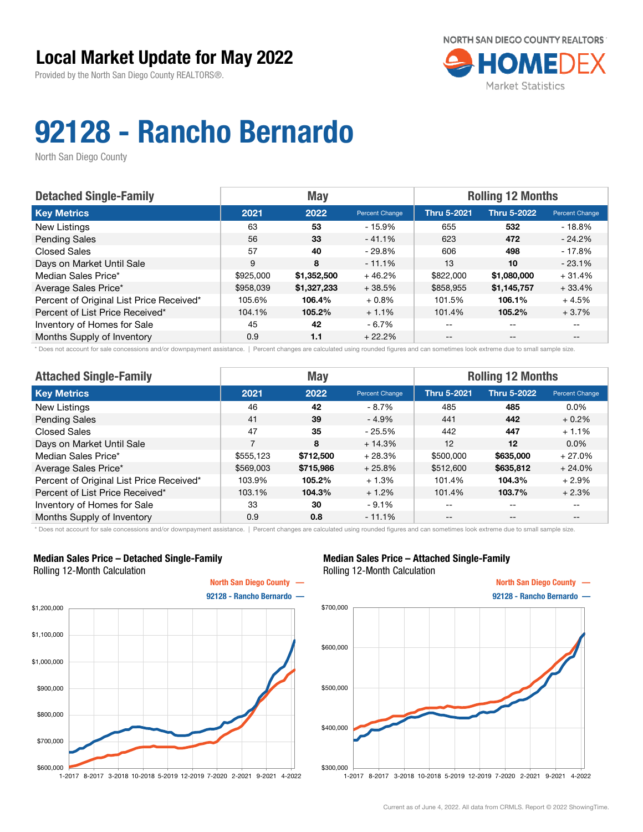

# 92128 - Rancho Bernardo

North San Diego County

| <b>Detached Single-Family</b>            |           | <b>May</b>  |                       | <b>Rolling 12 Months</b> |                    |                          |  |
|------------------------------------------|-----------|-------------|-----------------------|--------------------------|--------------------|--------------------------|--|
| <b>Key Metrics</b>                       | 2021      | 2022        | <b>Percent Change</b> | <b>Thru 5-2021</b>       | <b>Thru 5-2022</b> | Percent Change           |  |
| New Listings                             | 63        | 53          | - 15.9%               | 655                      | 532                | - 18.8%                  |  |
| <b>Pending Sales</b>                     | 56        | 33          | $-41.1%$              | 623                      | 472                | $-24.2%$                 |  |
| <b>Closed Sales</b>                      | 57        | 40          | - 29.8%               | 606                      | 498                | $-17.8%$                 |  |
| Days on Market Until Sale                | 9         | 8           | $-11.1%$              | 13                       | 10                 | $-23.1%$                 |  |
| Median Sales Price*                      | \$925,000 | \$1,352,500 | $+46.2%$              | \$822,000                | \$1,080,000        | $+31.4%$                 |  |
| Average Sales Price*                     | \$958,039 | \$1,327,233 | $+38.5%$              | \$858,955                | \$1,145,757        | $+33.4%$                 |  |
| Percent of Original List Price Received* | 105.6%    | 106.4%      | $+0.8\%$              | 101.5%                   | 106.1%             | $+4.5%$                  |  |
| Percent of List Price Received*          | 104.1%    | 105.2%      | $+1.1%$               | 101.4%                   | 105.2%             | $+3.7%$                  |  |
| Inventory of Homes for Sale              | 45        | 42          | $-6.7%$               | --                       | --                 |                          |  |
| Months Supply of Inventory               | 0.9       | 1.1         | $+22.2%$              | $- -$                    | $\qquad \qquad -$  | $\overline{\phantom{m}}$ |  |

\* Does not account for sale concessions and/or downpayment assistance. | Percent changes are calculated using rounded figures and can sometimes look extreme due to small sample size.

| <b>Attached Single-Family</b>            |           | <b>May</b> |                | <b>Rolling 12 Months</b> |                    |                          |  |
|------------------------------------------|-----------|------------|----------------|--------------------------|--------------------|--------------------------|--|
| <b>Key Metrics</b>                       | 2021      | 2022       | Percent Change | <b>Thru 5-2021</b>       | <b>Thru 5-2022</b> | Percent Change           |  |
| New Listings                             | 46        | 42         | - 8.7%         | 485                      | 485                | $0.0\%$                  |  |
| <b>Pending Sales</b>                     | 41        | 39         | $-4.9%$        | 441                      | 442                | $+0.2%$                  |  |
| <b>Closed Sales</b>                      | 47        | 35         | $-25.5%$       | 442                      | 447                | $+1.1%$                  |  |
| Days on Market Until Sale                | 7         | 8          | $+14.3%$       | 12                       | 12                 | $0.0\%$                  |  |
| Median Sales Price*                      | \$555,123 | \$712,500  | $+28.3%$       | \$500,000                | \$635,000          | $+27.0%$                 |  |
| Average Sales Price*                     | \$569,003 | \$715,986  | $+25.8%$       | \$512,600                | \$635,812          | $+24.0%$                 |  |
| Percent of Original List Price Received* | 103.9%    | 105.2%     | $+1.3%$        | 101.4%                   | 104.3%             | $+2.9%$                  |  |
| Percent of List Price Received*          | 103.1%    | 104.3%     | $+1.2%$        | 101.4%                   | 103.7%             | $+2.3%$                  |  |
| Inventory of Homes for Sale              | 33        | 30         | $-9.1%$        | --                       | $- -$              | $\overline{\phantom{m}}$ |  |
| Months Supply of Inventory               | 0.9       | 0.8        | $-11.1%$       | $- -$                    | $\qquad \qquad -$  | $- -$                    |  |

\* Does not account for sale concessions and/or downpayment assistance. | Percent changes are calculated using rounded figures and can sometimes look extreme due to small sample size.

### Median Sales Price – Detached Single-Family Rolling 12-Month Calculation



### Median Sales Price – Attached Single-Family Rolling 12-Month Calculation

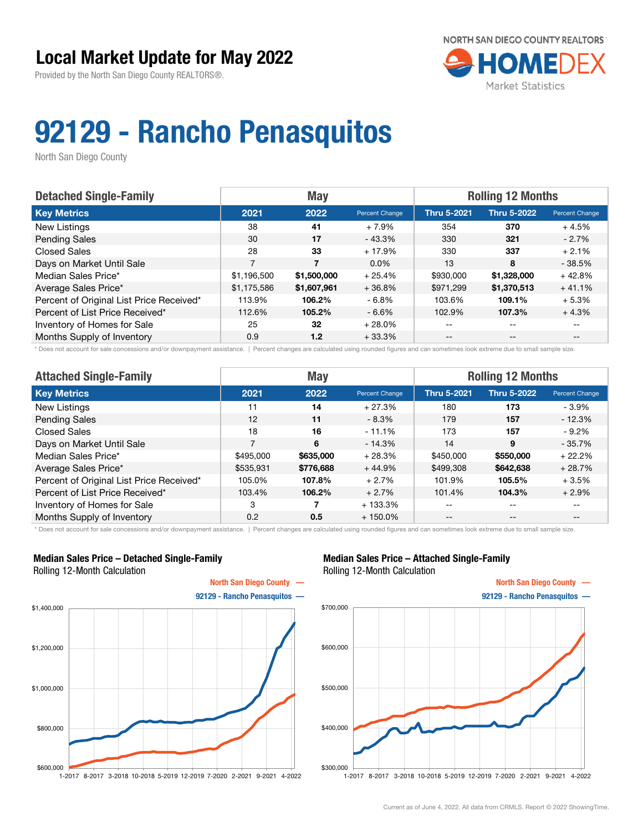

## 92129 - Rancho Penasquitos

North San Diego County

| <b>Detached Single-Family</b>            | <b>May</b>     |             |                | <b>Rolling 12 Months</b> |                    |                |
|------------------------------------------|----------------|-------------|----------------|--------------------------|--------------------|----------------|
| <b>Key Metrics</b>                       | 2021           | 2022        | Percent Change | <b>Thru 5-2021</b>       | <b>Thru 5-2022</b> | Percent Change |
| New Listings                             | 38             | 41          | $+7.9%$        | 354                      | 370                | $+4.5%$        |
| <b>Pending Sales</b>                     | 30             | 17          | - 43.3%        | 330                      | 321                | $-2.7\%$       |
| <b>Closed Sales</b>                      | 28             | 33          | $+17.9%$       | 330                      | 337                | $+2.1%$        |
| Days on Market Until Sale                | $\overline{7}$ | 7           | $0.0\%$        | 13                       | 8                  | $-38.5%$       |
| Median Sales Price*                      | \$1,196,500    | \$1,500,000 | $+25.4%$       | \$930,000                | \$1,328,000        | $+42.8%$       |
| Average Sales Price*                     | \$1,175,586    | \$1,607,961 | $+36.8%$       | \$971,299                | \$1,370,513        | $+41.1%$       |
| Percent of Original List Price Received* | 113.9%         | 106.2%      | $-6.8%$        | 103.6%                   | 109.1%             | $+5.3%$        |
| Percent of List Price Received*          | 112.6%         | 105.2%      | $-6.6%$        | 102.9%                   | 107.3%             | $+4.3%$        |
| Inventory of Homes for Sale              | 25             | 32          | $+28.0%$       | --                       | $- -$              |                |
| Months Supply of Inventory               | 0.9            | 1.2         | $+33.3%$       | --                       | $- -$              | $- -$          |

\* Does not account for sale concessions and/or downpayment assistance. | Percent changes are calculated using rounded figures and can sometimes look extreme due to small sample size.

| <b>Attached Single-Family</b>            |                | <b>May</b> |                | <b>Rolling 12 Months</b> |                    |                                       |  |
|------------------------------------------|----------------|------------|----------------|--------------------------|--------------------|---------------------------------------|--|
| <b>Key Metrics</b>                       | 2021           | 2022       | Percent Change | <b>Thru 5-2021</b>       | <b>Thru 5-2022</b> | Percent Change                        |  |
| New Listings                             | 11             | 14         | $+27.3%$       | 180                      | 173                | $-3.9%$                               |  |
| <b>Pending Sales</b>                     | 12             | 11         | $-8.3\%$       | 179                      | 157                | $-12.3%$                              |  |
| <b>Closed Sales</b>                      | 18             | 16         | $-11.1%$       | 173                      | 157                | - 9.2%                                |  |
| Days on Market Until Sale                | $\overline{7}$ | 6          | $-14.3%$       | 14                       | 9                  | $-35.7%$                              |  |
| Median Sales Price*                      | \$495,000      | \$635,000  | $+28.3%$       | \$450,000                | \$550,000          | $+22.2%$                              |  |
| Average Sales Price*                     | \$535,931      | \$776,688  | $+44.9%$       | \$499,308                | \$642,638          | $+28.7%$                              |  |
| Percent of Original List Price Received* | 105.0%         | 107.8%     | $+2.7%$        | 101.9%                   | 105.5%             | $+3.5%$                               |  |
| Percent of List Price Received*          | 103.4%         | 106.2%     | $+2.7%$        | 101.4%                   | 104.3%             | $+2.9%$                               |  |
| Inventory of Homes for Sale              | 3              |            | $+133.3\%$     | --                       | $- -$              | $- -$                                 |  |
| Months Supply of Inventory               | 0.2            | 0.5        | $+150.0\%$     | --                       | $\qquad \qquad -$  | $\hspace{0.05cm}$ – $\hspace{0.05cm}$ |  |

\* Does not account for sale concessions and/or downpayment assistance. | Percent changes are calculated using rounded figures and can sometimes look extreme due to small sample size.

### Median Sales Price – Detached Single-Family Rolling 12-Month Calculation



### Median Sales Price – Attached Single-Family Rolling 12-Month Calculation

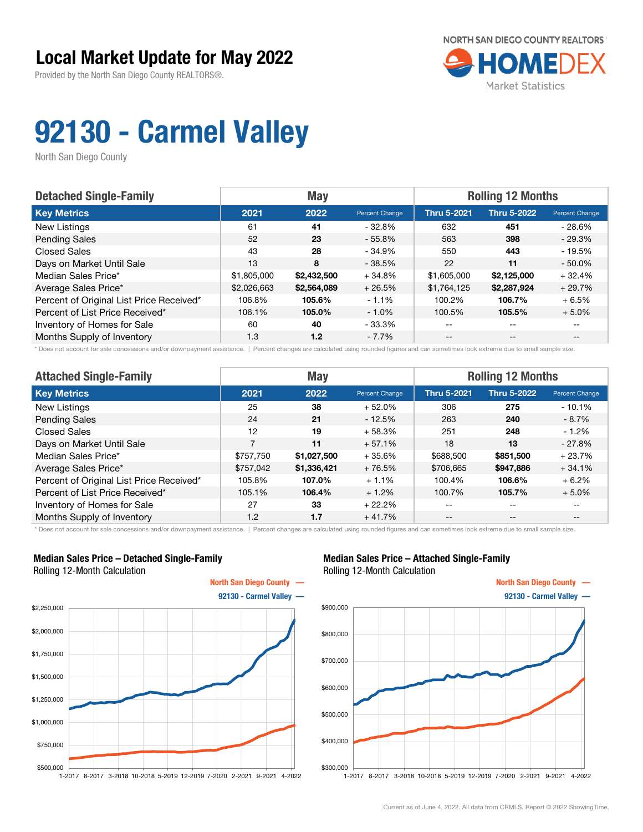

# 92130 - Carmel Valley

North San Diego County

| <b>Detached Single-Family</b>            |             | <b>May</b>  |                | <b>Rolling 12 Months</b> |                    |                |  |
|------------------------------------------|-------------|-------------|----------------|--------------------------|--------------------|----------------|--|
| <b>Key Metrics</b>                       | 2021        | 2022        | Percent Change | <b>Thru 5-2021</b>       | <b>Thru 5-2022</b> | Percent Change |  |
| New Listings                             | 61          | 41          | - 32.8%        | 632                      | 451                | - 28.6%        |  |
| <b>Pending Sales</b>                     | 52          | 23          | $-55.8\%$      | 563                      | 398                | $-29.3%$       |  |
| <b>Closed Sales</b>                      | 43          | 28          | - 34.9%        | 550                      | 443                | $-19.5%$       |  |
| Days on Market Until Sale                | 13          | 8           | $-38.5%$       | 22                       | 11                 | $-50.0%$       |  |
| Median Sales Price*                      | \$1,805,000 | \$2,432,500 | $+34.8%$       | \$1,605,000              | \$2,125,000        | $+32.4%$       |  |
| Average Sales Price*                     | \$2,026,663 | \$2,564,089 | $+26.5%$       | \$1,764,125              | \$2,287,924        | $+29.7%$       |  |
| Percent of Original List Price Received* | 106.8%      | 105.6%      | $-1.1%$        | 100.2%                   | 106.7%             | $+6.5%$        |  |
| Percent of List Price Received*          | 106.1%      | 105.0%      | $-1.0%$        | 100.5%                   | 105.5%             | $+5.0%$        |  |
| Inventory of Homes for Sale              | 60          | 40          | - 33.3%        | --                       | --                 |                |  |
| Months Supply of Inventory               | 1.3         | 1.2         | $-7.7%$        | --                       | $-$                | $- -$          |  |

\* Does not account for sale concessions and/or downpayment assistance. | Percent changes are calculated using rounded figures and can sometimes look extreme due to small sample size.

| <b>Attached Single-Family</b>            |                | <b>May</b>  |                | <b>Rolling 12 Months</b> |                    |                          |  |
|------------------------------------------|----------------|-------------|----------------|--------------------------|--------------------|--------------------------|--|
| <b>Key Metrics</b>                       | 2021           | 2022        | Percent Change | <b>Thru 5-2021</b>       | <b>Thru 5-2022</b> | Percent Change           |  |
| New Listings                             | 25             | 38          | $+52.0%$       | 306                      | 275                | $-10.1%$                 |  |
| <b>Pending Sales</b>                     | 24             | 21          | $-12.5%$       | 263                      | 240                | $-8.7\%$                 |  |
| <b>Closed Sales</b>                      | 12             | 19          | $+58.3%$       | 251                      | 248                | $-1.2\%$                 |  |
| Days on Market Until Sale                | $\overline{7}$ | 11          | $+57.1%$       | 18                       | 13                 | $-27.8%$                 |  |
| Median Sales Price*                      | \$757,750      | \$1,027,500 | $+35.6%$       | \$688,500                | \$851,500          | $+23.7%$                 |  |
| Average Sales Price*                     | \$757,042      | \$1,336,421 | $+76.5%$       | \$706,665                | \$947,886          | $+34.1%$                 |  |
| Percent of Original List Price Received* | 105.8%         | 107.0%      | $+1.1%$        | 100.4%                   | 106.6%             | $+6.2%$                  |  |
| Percent of List Price Received*          | 105.1%         | 106.4%      | $+1.2%$        | 100.7%                   | 105.7%             | $+5.0\%$                 |  |
| Inventory of Homes for Sale              | 27             | 33          | $+22.2%$       | --                       | $- -$              | $\overline{\phantom{m}}$ |  |
| Months Supply of Inventory               | 1.2            | 1.7         | $+41.7%$       | $- -$                    | $\qquad \qquad -$  | $- -$                    |  |

\* Does not account for sale concessions and/or downpayment assistance. | Percent changes are calculated using rounded figures and can sometimes look extreme due to small sample size.

### Median Sales Price – Detached Single-Family Rolling 12-Month Calculation



### Median Sales Price – Attached Single-Family Rolling 12-Month Calculation